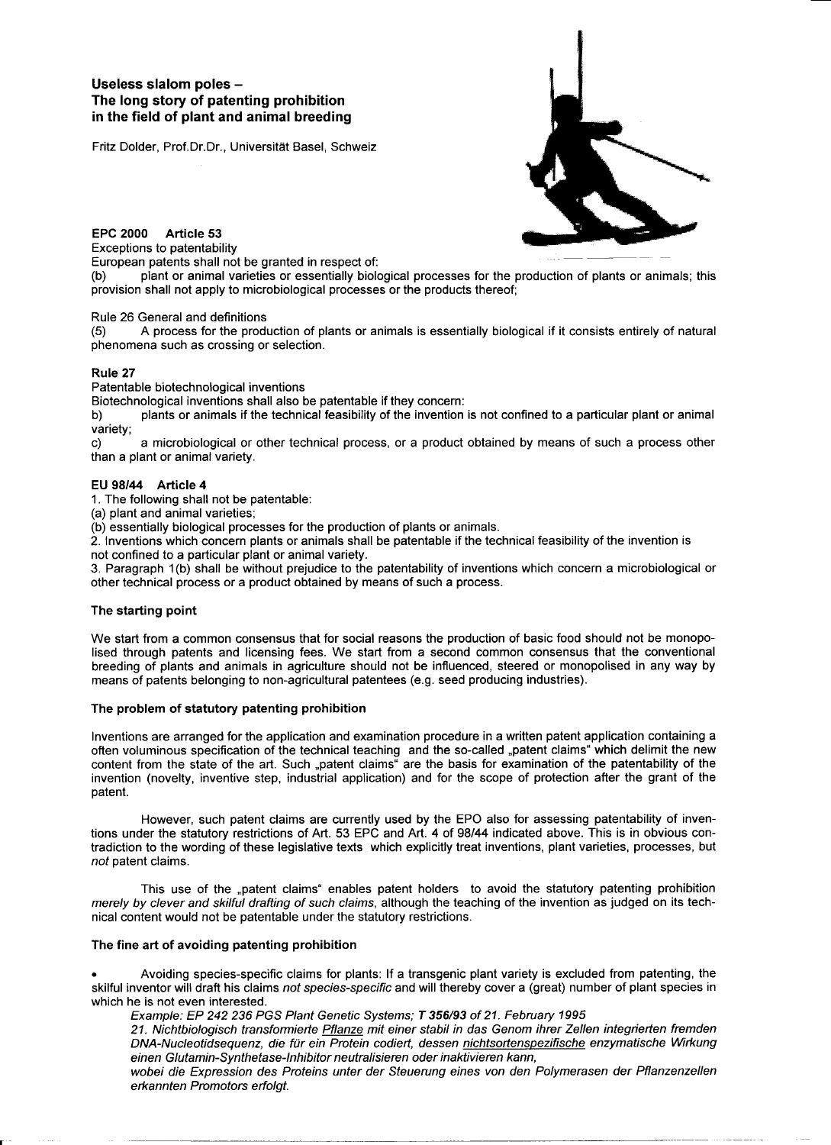# Useless slalom poles -The long story of patenting prohibition in the field of plant and animal breeding

Fritz Dolder, Prof.Dr.Dr., Universität Basel, Schweiz



EPC 2000 Article 53 Exceptions to patentability

European patents shall not be granted in respect of:

plant or animal varieties or essentially biological processes for the production of plants or animals; this provision shall not apply to microbiological processes or the products thereof;

Rule 26 General and definitions

(5) A process for the production of plants or animals is essentially biological if it consists entirely of natural phenomena such as crossing or selection.

#### Rule 27

Patentable biotechnological inventions

Biotechnological inventions shall also be patentable if they concern:

b) plants or animals if the technical feasibility of the invention is not confined to a particular plant or animal variety;

c) a microbiological or other technical process, or a product obtained by means of such a process other than a plant or animal variety.

## EU *98/44* Article 4

1. The following shall not be patentable:

(a) plant and animal varieties;

(b) essentially biological processes for the production of plants or animals.

2. Inventions which concern plants or animals shall be patentable if the technical feasibility of the invention is not confined to a particular plant or animal variety.

3. Paragraph 1(b) shall be without prejudice to the patentability of inventions which concern a microbiological or other technical process or a product obtained by means of such a process.

#### The starting point

We start from a common consensus that for social reasons the production of basic food should not be monopolised through patents and licensing fees. We start from a second common consensus that the conventional breeding of plants and animals in agriculture should not be influenced, steered or monopolised in any way by means of patents belonging to non-agricultural patentees (e.g. seed producing industries).

## The problem of statutory patenting prohibition

Inventions are arranged for the application and examination procedure in a written patent application containing a often voluminous specification of the technical teaching and the so-called "patent claims" which delimit the new content from the state of the art. Such "patent claims" are the basis for examination of the patentability of the invention (novelty, inventive step, industrial application) and for the scope of protection after the grant of the patent.

However, such patent claims are currently used by the EPO also for assessing patentability of inventions under the statutory restrictions of Art. 53 EPC and Art. 4 of *98/44* indicated above. This is in obvious contradiction to the wording of these legislative texts which explicitly treat inventions, plant varieties, processes, but *not* patent claims.

This use of the "patent claims" enables patent holders to avoid the statutory patenting prohibition *merely by clever and skilful drafting* of *such claims,* although the teaching of the invention as judged on its technical content would not be patentable under the statutory restrictions.

## The fine art of avoiding patenting prohibition

• Avoiding species-specific claims for plants: If a transgenic plant variety is excluded from patenting, the skilful inventor will draft his claims *not species-specific* and will thereby cover a (great) number of plant species in which he is not even interested.

*Example: EP* 242 236 *PGS Plant Genetic Systems; T* 356/93 of 21. *February 1995*

*21. Nichtbiologisch transformierte Pflanze mit einer stabil in das Genom ihrer Zellen integrierten fremden*  $DNA-Nucleotidesequenz,$  *die für ein Protein codiert, dessen nichtsortenspezifische enzymatische Wirkung einen Glutamin-Synthetase-Inhibitor neutralisieren oder inaktivieren kann,*

*wobei die Expression des Proteins unter der Steuerung eines von den Polymerasen der Pflanzenzellen erkannten Promotors erfolgt.*